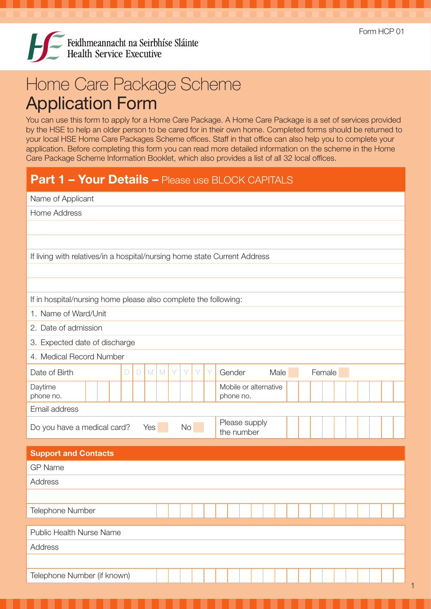

## Home Care Package Scheme Application Form

You can use this form to apply for a Home Care Package. A Home Care Package is a set of services provided by the HSE to help an older person to be cared for in their own home. Completed forms should be returned to your local HSE Home Care Packages Scheme offices. Staff in that office can also help you to complete your application. Before completing this form you can read more detailed information on the scheme in the Home Care Package Scheme Information Booklet, which also provides a list of all 32 local offices.

## Part 1 - Your Details - Please use BLOCK CAPITALS

|                                                                           | Name of Applicant |  |        |        |     |  |   |   |      |   |                                    |  |      |  |        |  |  |  |
|---------------------------------------------------------------------------|-------------------|--|--------|--------|-----|--|---|---|------|---|------------------------------------|--|------|--|--------|--|--|--|
| <b>Home Address</b>                                                       |                   |  |        |        |     |  |   |   |      |   |                                    |  |      |  |        |  |  |  |
|                                                                           |                   |  |        |        |     |  |   |   |      |   |                                    |  |      |  |        |  |  |  |
|                                                                           |                   |  |        |        |     |  |   |   |      |   |                                    |  |      |  |        |  |  |  |
| If living with relatives/in a hospital/nursing home state Current Address |                   |  |        |        |     |  |   |   |      |   |                                    |  |      |  |        |  |  |  |
|                                                                           |                   |  |        |        |     |  |   |   |      |   |                                    |  |      |  |        |  |  |  |
|                                                                           |                   |  |        |        |     |  |   |   |      |   |                                    |  |      |  |        |  |  |  |
| If in hospital/nursing home please also complete the following:           |                   |  |        |        |     |  |   |   |      |   |                                    |  |      |  |        |  |  |  |
| 1. Name of Ward/Unit                                                      |                   |  |        |        |     |  |   |   |      |   |                                    |  |      |  |        |  |  |  |
| 2. Date of admission                                                      |                   |  |        |        |     |  |   |   |      |   |                                    |  |      |  |        |  |  |  |
| 3. Expected date of discharge                                             |                   |  |        |        |     |  |   |   |      |   |                                    |  |      |  |        |  |  |  |
| 4. Medical Record Number                                                  |                   |  |        |        |     |  |   |   |      |   |                                    |  |      |  |        |  |  |  |
| Date of Birth                                                             |                   |  | $\Box$ | $\Box$ | M M |  | Y | Y | Y    | Y | Gender                             |  | Male |  | Female |  |  |  |
| Daytime<br>phone no.                                                      |                   |  |        |        |     |  |   |   |      |   | Mobile or alternative<br>phone no. |  |      |  |        |  |  |  |
| Email address                                                             |                   |  |        |        |     |  |   |   |      |   |                                    |  |      |  |        |  |  |  |
| Do you have a medical card?                                               |                   |  |        |        | Yes |  |   |   | No l |   | Please supply<br>the number        |  |      |  |        |  |  |  |
| <b>Support and Contacts</b>                                               |                   |  |        |        |     |  |   |   |      |   |                                    |  |      |  |        |  |  |  |
| <b>GP Name</b>                                                            |                   |  |        |        |     |  |   |   |      |   |                                    |  |      |  |        |  |  |  |
| Address                                                                   |                   |  |        |        |     |  |   |   |      |   |                                    |  |      |  |        |  |  |  |
|                                                                           |                   |  |        |        |     |  |   |   |      |   |                                    |  |      |  |        |  |  |  |
| Telephone Number                                                          |                   |  |        |        |     |  |   |   |      |   |                                    |  |      |  |        |  |  |  |
| Public Health Nurse Name                                                  |                   |  |        |        |     |  |   |   |      |   |                                    |  |      |  |        |  |  |  |
| Address                                                                   |                   |  |        |        |     |  |   |   |      |   |                                    |  |      |  |        |  |  |  |
|                                                                           |                   |  |        |        |     |  |   |   |      |   |                                    |  |      |  |        |  |  |  |
|                                                                           |                   |  |        |        |     |  |   |   |      |   |                                    |  |      |  |        |  |  |  |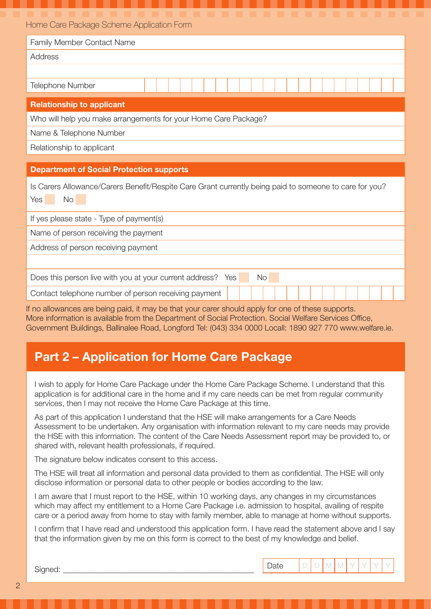| Home Care Package Scheme Application Form |  |
|-------------------------------------------|--|
|-------------------------------------------|--|

| Family Member Contact Name                                      |  |  |  |  |  |  |  |  |  |  |  |  |  |  |  |
|-----------------------------------------------------------------|--|--|--|--|--|--|--|--|--|--|--|--|--|--|--|
| Address                                                         |  |  |  |  |  |  |  |  |  |  |  |  |  |  |  |
|                                                                 |  |  |  |  |  |  |  |  |  |  |  |  |  |  |  |
| <b>Telephone Number</b>                                         |  |  |  |  |  |  |  |  |  |  |  |  |  |  |  |
|                                                                 |  |  |  |  |  |  |  |  |  |  |  |  |  |  |  |
| <b>Relationship to applicant</b>                                |  |  |  |  |  |  |  |  |  |  |  |  |  |  |  |
| Who will help you make arrangements for your Home Care Package? |  |  |  |  |  |  |  |  |  |  |  |  |  |  |  |

Name & Telephone Number

Relationship to applicant

## Department of Social Protection supports

|        |  | Is Carers Allowance/Carers Benefit/Respite Care Grant currently being paid to someone to care for you? |  |  |  |  |  |
|--------|--|--------------------------------------------------------------------------------------------------------|--|--|--|--|--|
| Yes No |  |                                                                                                        |  |  |  |  |  |

If yes please state - Type of payment(s)

Name of person receiving the payment

Address of person receiving payment

Does this person live with you at your current address? Yes No

Contact telephone number of person receiving payment

If no allowances are being paid, it may be that your carer should apply for one of these supports. More information is available from the Department of Social Protection. Social Welfare Services Office, Government Buildings, Ballinalee Road, Longford Tel: (043) 334 0000 Locall: 1890 927 770 www.welfare.ie.

## Part 2 – Application for Home Care Package

I wish to apply for Home Care Package under the Home Care Package Scheme. I understand that this application is for additional care in the home and if my care needs can be met from regular community services, then I may not receive the Home Care Package at this time.

As part of this application I understand that the HSE will make arrangements for a Care Needs Assessment to be undertaken. Any organisation with information relevant to my care needs may provide the HSE with this information. The content of the Care Needs Assessment report may be provided to, or shared with, relevant health professionals, if required.

The signature below indicates consent to this access.

The HSE will treat all information and personal data provided to them as confidential. The HSE will only disclose information or personal data to other people or bodies according to the law.

I am aware that I must report to the HSE, within 10 working days, any changes in my circumstances which may affect my entitlement to a Home Care Package i.e. admission to hospital, availing of respite care or a period away from home to stay with family member, able to manage at home without supports.

I confirm that I have read and understood this application form. I have read the statement above and I say that the information given by me on this form is correct to the best of my knowledge and belief.

| nea.<br>ت. | Date<br>----- | $\sim$<br><b>Service</b> | $\sim$ |  |  |  |
|------------|---------------|--------------------------|--------|--|--|--|
|            |               |                          |        |  |  |  |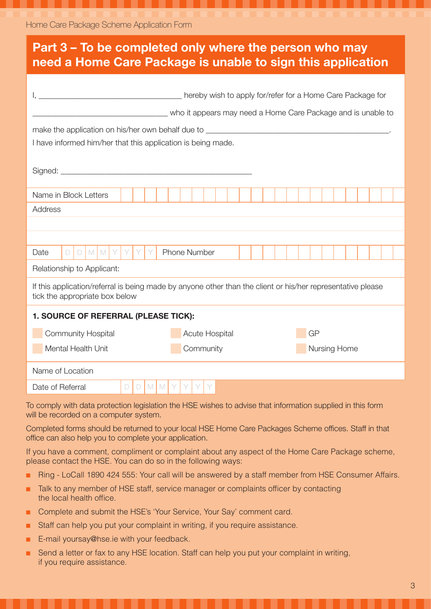| Part 3 – To be completed only where the person who may<br>need a Home Care Package is unable to sign this application                                                                                                                                         |  |  |  |  |  |  |  |  |  |
|---------------------------------------------------------------------------------------------------------------------------------------------------------------------------------------------------------------------------------------------------------------|--|--|--|--|--|--|--|--|--|
| who it appears may need a Home Care Package and is unable to<br>make the application on his/her own behalf due to _______________________________                                                                                                             |  |  |  |  |  |  |  |  |  |
| I have informed him/her that this application is being made.                                                                                                                                                                                                  |  |  |  |  |  |  |  |  |  |
| Name in Block Letters                                                                                                                                                                                                                                         |  |  |  |  |  |  |  |  |  |
| Address                                                                                                                                                                                                                                                       |  |  |  |  |  |  |  |  |  |
| $D$ $M$ $M$ $Y$ $Y$<br><b>Phone Number</b><br>$\Box$<br>Date                                                                                                                                                                                                  |  |  |  |  |  |  |  |  |  |
| Relationship to Applicant:                                                                                                                                                                                                                                    |  |  |  |  |  |  |  |  |  |
| If this application/referral is being made by anyone other than the client or his/her representative please<br>tick the appropriate box below                                                                                                                 |  |  |  |  |  |  |  |  |  |
| 1. SOURCE OF REFERRAL (PLEASE TICK):                                                                                                                                                                                                                          |  |  |  |  |  |  |  |  |  |
| <b>Community Hospital</b><br>Acute Hospital<br>GP                                                                                                                                                                                                             |  |  |  |  |  |  |  |  |  |
| Mental Health Unit<br>Community<br>Nursing Home                                                                                                                                                                                                               |  |  |  |  |  |  |  |  |  |
|                                                                                                                                                                                                                                                               |  |  |  |  |  |  |  |  |  |
| Name of Location                                                                                                                                                                                                                                              |  |  |  |  |  |  |  |  |  |
| Date of Referral<br>M<br>M<br>$\Box$<br>D                                                                                                                                                                                                                     |  |  |  |  |  |  |  |  |  |
| To comply with data protection legislation the HSE wishes to advise that information supplied in this form<br>will be recorded on a computer system.<br>Completed forms should be returned to your local HSE Home Care Packages Scheme offices. Staff in that |  |  |  |  |  |  |  |  |  |
| office can also help you to complete your application.                                                                                                                                                                                                        |  |  |  |  |  |  |  |  |  |
| If you have a comment, compliment or complaint about any aspect of the Home Care Package scheme,<br>please contact the HSE. You can do so in the following ways:                                                                                              |  |  |  |  |  |  |  |  |  |
| Ring - LoCall 1890 424 555: Your call will be answered by a staff member from HSE Consumer Affairs.<br>u.                                                                                                                                                     |  |  |  |  |  |  |  |  |  |
| Talk to any member of HSE staff, service manager or complaints officer by contacting<br>п<br>the local health office.                                                                                                                                         |  |  |  |  |  |  |  |  |  |
| Complete and submit the HSE's 'Your Service, Your Say' comment card.<br>٠                                                                                                                                                                                     |  |  |  |  |  |  |  |  |  |
| Staff can help you put your complaint in writing, if you require assistance.<br>٠                                                                                                                                                                             |  |  |  |  |  |  |  |  |  |
| E-mail yoursay@hse.ie with your feedback.<br>O,                                                                                                                                                                                                               |  |  |  |  |  |  |  |  |  |
| Send a letter or fax to any HSE location. Staff can help you put your complaint in writing,<br>if you require assistance.                                                                                                                                     |  |  |  |  |  |  |  |  |  |